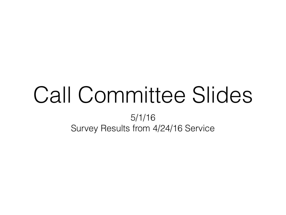# Call Committee Slides

5/1/16 Survey Results from 4/24/16 Service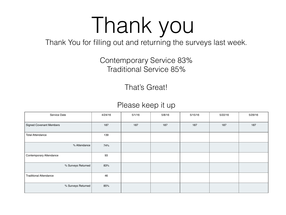# Thank you

Thank You for filling out and returning the surveys last week.

#### Contemporary Service 83% Traditional Service 85%

That's Great!

#### Please keep it up

| Service Date                   | 4/24/16 | 5/1/16 | 5/8/16 | 5/15/16 | 5/22/16 | 5/29/16 |
|--------------------------------|---------|--------|--------|---------|---------|---------|
| <b>Signed Covenant Members</b> | 187     | 187    | 187    | 187     | 187     | 187     |
| <b>Total Attendance</b>        | 139     |        |        |         |         |         |
| % Attendance                   | 74%     |        |        |         |         |         |
| <b>Contemporary Attendance</b> | 93      |        |        |         |         |         |
| % Surveys Returned             | 83%     |        |        |         |         |         |
| <b>Traditional Attendance</b>  | 46      |        |        |         |         |         |
| % Surveys Returned             | 85%     |        |        |         |         |         |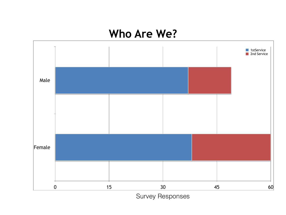#### **Who Are We?**

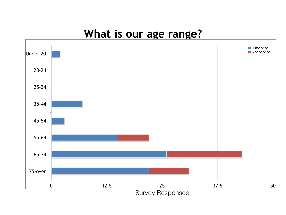#### **What is our age range?**

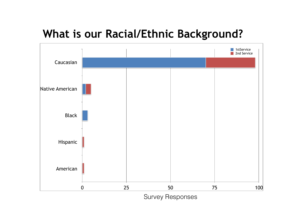## **What is our Racial/Ethnic Background?**

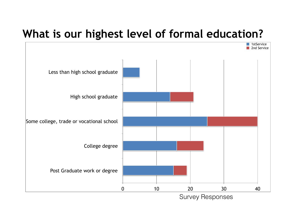#### **What is our highest level of formal education?**

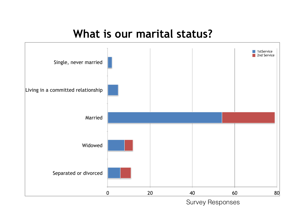#### **What is our marital status?**

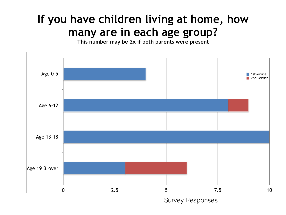# **If you have children living at home, how many are in each age group?**

**This number may be 2x if both parents were present**

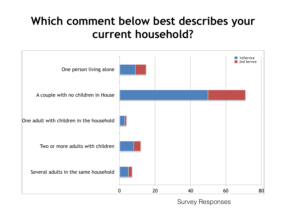# **Which comment below best describes your current household?**

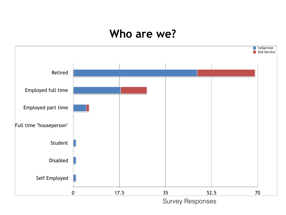#### **Who are we?**

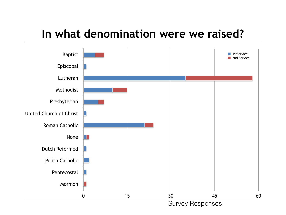#### **In what denomination were we raised?**



Survey Responses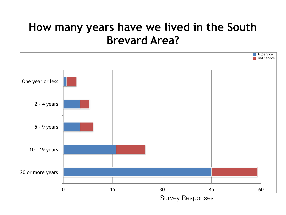### **How many years have we lived in the South Brevard Area?**

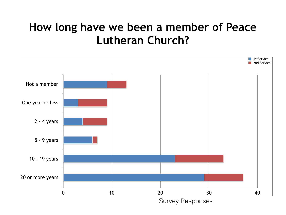## **How long have we been a member of Peace Lutheran Church?**

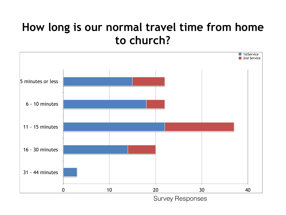### **How long is our normal travel time from home to church?**

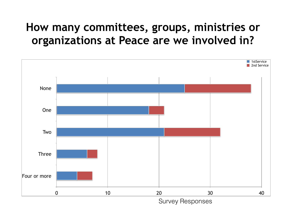## **How many committees, groups, ministries or organizations at Peace are we involved in?**